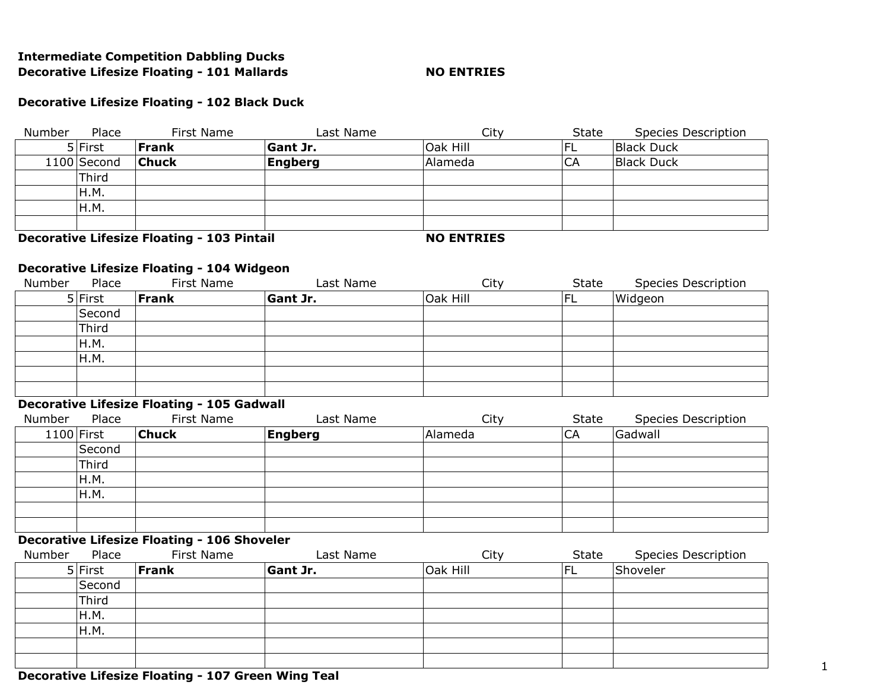## **Intermediate Competition Dabbling Ducks Decorative Lifesize Floating - 101 Mallards NO ENTRIES**

### **Decorative Lifesize Floating - 102 Black Duck**

| Number      | Place | First Name   | Last Name       | City     | State | <b>Species Description</b> |
|-------------|-------|--------------|-----------------|----------|-------|----------------------------|
| 5 First     |       | <b>Frank</b> | <b>Gant Jr.</b> | Oak Hill | IFL.  | <b>Black Duck</b>          |
| 1100 Second |       | <b>Chuck</b> | Engberg         | Alameda  | СA    | <b>Black Duck</b>          |
| Third       |       |              |                 |          |       |                            |
| H.M.        |       |              |                 |          |       |                            |
| H.M.        |       |              |                 |          |       |                            |
|             |       |              |                 |          |       |                            |
| . .         | .     | --<br>.<br>. |                 |          |       |                            |

**Decorative Lifesize Floating - 103 Pintail MO ENTRIES** 

### **Decorative Lifesize Floating - 104 Widgeon**

| Number | Place     | First Name   | Last Name       | City     | State | <b>Species Description</b> |
|--------|-----------|--------------|-----------------|----------|-------|----------------------------|
|        | $5$ First | <b>Frank</b> | <b>Gant Jr.</b> | Oak Hill | FL    | Widgeon                    |
|        | Second    |              |                 |          |       |                            |
|        | Third     |              |                 |          |       |                            |
|        | H.M.      |              |                 |          |       |                            |
|        | H.M.      |              |                 |          |       |                            |
|        |           |              |                 |          |       |                            |
|        |           |              |                 |          |       |                            |

# **Decorative Lifesize Floating - 105 Gadwall**

| Number | Place        | First Name   | Last Name      | City    | State | <b>Species Description</b> |
|--------|--------------|--------------|----------------|---------|-------|----------------------------|
|        | $1100$ First | <b>Chuck</b> | <b>Engberg</b> | Alameda | CA    | Gadwall                    |
|        | Second       |              |                |         |       |                            |
|        | Third        |              |                |         |       |                            |
|        | H.M.         |              |                |         |       |                            |
|        | H.M.         |              |                |         |       |                            |
|        |              |              |                |         |       |                            |
|        |              |              |                |         |       |                            |

### **Decorative Lifesize Floating - 106 Shoveler**

| Number | Place     | First Name | Last Name       | City     | State | <b>Species Description</b> |
|--------|-----------|------------|-----------------|----------|-------|----------------------------|
|        | $5$ First | Frank      | <b>Gant Jr.</b> | Oak Hill | 'FL   | Shoveler                   |
|        | Second    |            |                 |          |       |                            |
|        | 'Third    |            |                 |          |       |                            |
|        | H.M.      |            |                 |          |       |                            |
|        | H.M.      |            |                 |          |       |                            |
|        |           |            |                 |          |       |                            |
|        |           |            |                 |          |       |                            |

## **Decorative Lifesize Floating - 107 Green Wing Teal**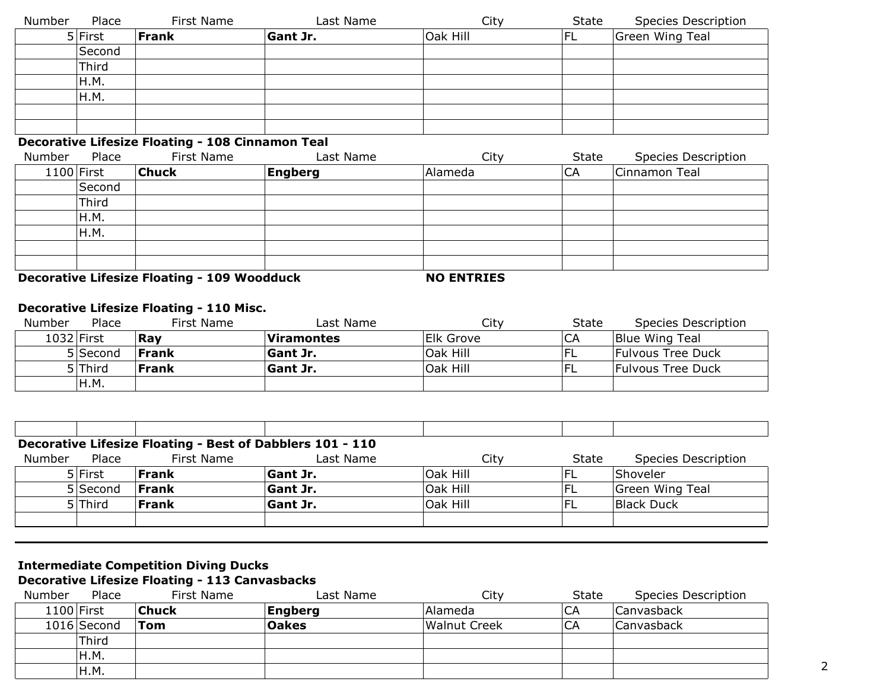| Number | Place        | First Name                                              | Last Name      | City     | State     | <b>Species Description</b> |
|--------|--------------|---------------------------------------------------------|----------------|----------|-----------|----------------------------|
|        | $5$ First    | <b>Frank</b>                                            | Gant Jr.       | Oak Hill | <b>FL</b> | Green Wing Teal            |
|        | Second       |                                                         |                |          |           |                            |
|        | Third        |                                                         |                |          |           |                            |
|        | H.M.         |                                                         |                |          |           |                            |
|        | H.M.         |                                                         |                |          |           |                            |
|        |              |                                                         |                |          |           |                            |
|        |              |                                                         |                |          |           |                            |
|        |              | <b>Decorative Lifesize Floating - 108 Cinnamon Teal</b> |                |          |           |                            |
| Number | Place        | First Name                                              | Last Name      | City     | State     | <b>Species Description</b> |
|        | $1100$ First | <b>Chuck</b>                                            | <b>Engberg</b> | Alameda  | CA        | Cinnamon Teal              |
|        | Second       |                                                         |                |          |           |                            |
|        | Third        |                                                         |                |          |           |                            |
|        |              |                                                         |                |          |           |                            |

| H.M. |  |  |
|------|--|--|
| H.M. |  |  |
|      |  |  |
|      |  |  |

**Decorative Lifesize Floating - 109 Woodduck NO ENTRIES** 

# **Decorative Lifesize Floating - 110 Misc.**

| Number     | Place    | First Name   | Last Name         | City      | State | Species Description      |
|------------|----------|--------------|-------------------|-----------|-------|--------------------------|
| 1032 First |          | 'Rav         | <b>Viramontes</b> | Elk Grove | CA    | Blue Wing Teal           |
|            | 5 Second | <b>Frank</b> | <b>Gant Jr.</b>   | Oak Hill  |       | <b>Fulvous Tree Duck</b> |
|            | 5 Third  | <b>Frank</b> | <b>Gant Jr.</b>   | Oak Hill  |       | Fulvous Tree Duck        |
|            | H.M.     |              |                   |           |       |                          |

| Decorative Lifesize Floating - Best of Dabblers 101 - 110 |              |                 |          |       |                            |  |  |  |  |
|-----------------------------------------------------------|--------------|-----------------|----------|-------|----------------------------|--|--|--|--|
| Place                                                     | First Name   | Last Name       | Citv     | State | <b>Species Description</b> |  |  |  |  |
| 5 First                                                   | Frank        | <b>Gant Jr.</b> | Oak Hill |       | Shoveler                   |  |  |  |  |
| 5 Second                                                  | Frank        | <b>Gant Jr.</b> | Oak Hill | 'FL   | Green Wing Teal            |  |  |  |  |
| 5 Third                                                   | <b>Frank</b> | <b>Gant Jr.</b> | Oak Hill |       | <b>Black Duck</b>          |  |  |  |  |
|                                                           |              |                 |          |       |                            |  |  |  |  |
|                                                           |              |                 |          |       |                            |  |  |  |  |

# **Intermediate Competition Diving Ducks**

**Decorative Lifesize Floating - 113 Canvasbacks**

| Number | Place       | First Name   | Last Name    | City                | <b>State</b> | Species Description |  |
|--------|-------------|--------------|--------------|---------------------|--------------|---------------------|--|
|        | 1100 First  | <b>Chuck</b> | Engberg      | Alameda             | CA           | Canvasback          |  |
|        | 1016 Second | Tom          | <b>Oakes</b> | <b>Walnut Creek</b> | CA           | Canvasback          |  |
|        | 'Third      |              |              |                     |              |                     |  |
|        | H.M.        |              |              |                     |              |                     |  |
|        | H.M.        |              |              |                     |              |                     |  |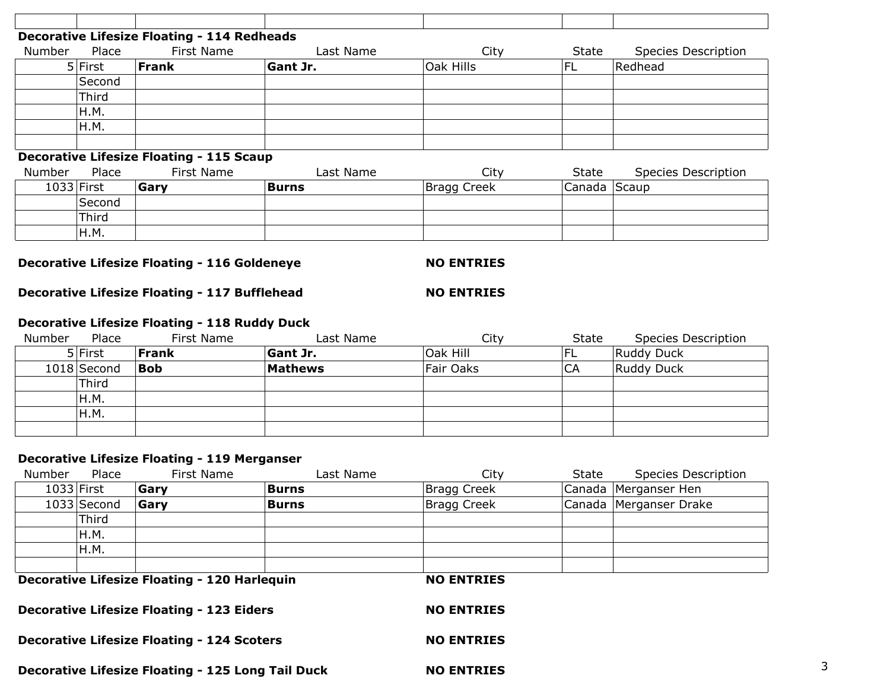|            |         | <b>Decorative Lifesize Floating - 114 Redheads</b> |                 |                    |        |                            |
|------------|---------|----------------------------------------------------|-----------------|--------------------|--------|----------------------------|
| Number     | Place   | First Name                                         | Last Name       | City               | State  | Species Description        |
|            | 5 First | Frank                                              | <b>Gant Jr.</b> | Oak Hills          | FL     | Redhead                    |
|            | Second  |                                                    |                 |                    |        |                            |
|            | Third   |                                                    |                 |                    |        |                            |
|            | H.M.    |                                                    |                 |                    |        |                            |
|            | H.M.    |                                                    |                 |                    |        |                            |
|            |         |                                                    |                 |                    |        |                            |
|            |         | <b>Decorative Lifesize Floating - 115 Scaup</b>    |                 |                    |        |                            |
| Number     | Place   | First Name                                         | Last Name       | City               | State  | <b>Species Description</b> |
| 1033 First |         | Gary                                               | <b>Burns</b>    | <b>Bragg Creek</b> | Canada | Scaup                      |
|            | Second  |                                                    |                 |                    |        |                            |
|            | Third   |                                                    |                 |                    |        |                            |
|            | H.M.    |                                                    |                 |                    |        |                            |

**Decorative Lifesize Floating - 116 Goldeneye NO ENTRIES** 

**Decorative Lifesize Floating - 117 Bufflehead MO ENTRIES** 

## **Decorative Lifesize Floating - 118 Ruddy Duck**

| Number | Place       | First Name   | Last Name       | City             | State | Species Description |
|--------|-------------|--------------|-----------------|------------------|-------|---------------------|
|        | 5 First     | <b>Frank</b> | <b>Gant Jr.</b> | Oak Hill         | 'FL   | Ruddy Duck          |
|        | 1018 Second | <b>Bob</b>   | <b>Mathews</b>  | <b>Fair Oaks</b> | CA    | Ruddy Duck          |
|        | Third       |              |                 |                  |       |                     |
|        | H.M.        |              |                 |                  |       |                     |
|        | H.M.        |              |                 |                  |       |                     |
|        |             |              |                 |                  |       |                     |

## **Decorative Lifesize Floating - 119 Merganser**

| Number | Place        | First Name                                          | Last Name    | City              | State | Species Description    |
|--------|--------------|-----------------------------------------------------|--------------|-------------------|-------|------------------------|
|        | $1033$ First | Gary                                                | <b>Burns</b> | Bragg Creek       |       | Canada Merganser Hen   |
|        | 1033 Second  | Garv                                                | Burns        | Bragg Creek       |       | Canada Merganser Drake |
|        | Third        |                                                     |              |                   |       |                        |
|        | H.M.         |                                                     |              |                   |       |                        |
|        | H.M.         |                                                     |              |                   |       |                        |
|        |              |                                                     |              |                   |       |                        |
|        |              | <b>Decorative Lifesize Floating - 120 Harlequin</b> |              | <b>NO ENTRIES</b> |       |                        |

**Decorative Lifesize Floating - 123 Eiders NO ENTRIES** 

**Decorative Lifesize Floating - 124 Scoters MO ENTRIES** 

**Decorative Lifesize Floating - 125 Long Tail Duck**  $\frac{3}{3}$  **<b>NO ENTRIES** 3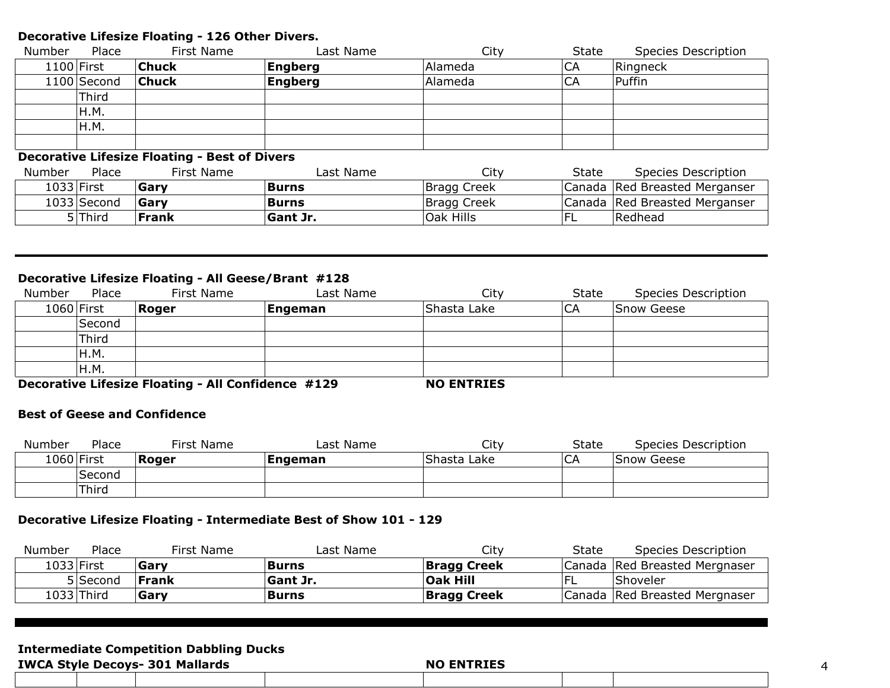#### **Decorative Lifesize Floating - 126 Other Divers.**

| Number     | Place       | First Name   | Last Name | City    | State | Species Description |
|------------|-------------|--------------|-----------|---------|-------|---------------------|
| 1100 First |             | <b>Chuck</b> | Engberg   | Alameda | CA    | Ringneck            |
|            | 1100 Second | $ $ Chuck    | Engberg   | Alameda | CA    | Puffin              |
|            | 'Third      |              |           |         |       |                     |
|            | H.M.        |              |           |         |       |                     |
|            | H.M.        |              |           |         |       |                     |
|            |             |              |           |         |       |                     |

### **Decorative Lifesize Floating - Best of Divers**

| Place<br>Number | First Name | Last Name       | City        | State | Species Description             |
|-----------------|------------|-----------------|-------------|-------|---------------------------------|
| 1033 First      | Garv       | Burns           | Bragg Creek |       | Canada Red Breasted Merganser   |
| 1033 Second     | Garv       | Burns           | Bragg Creek |       | Canada   Red Breasted Merganser |
| 5 Third         | Frank      | <b>Gant Jr.</b> | Oak Hills   |       | Redhead                         |

# **Decorative Lifesize Floating - All Geese/Brant #128**

| Number     | Place  | First Name | Last Name | City        | State | Species Description |
|------------|--------|------------|-----------|-------------|-------|---------------------|
| 1060 First |        | Roger      | Engeman   | Shasta Lake | CA    | Snow Geese          |
|            | Second |            |           |             |       |                     |
|            | Third  |            |           |             |       |                     |
|            | H.M.   |            |           |             |       |                     |
|            | IH.M.  |            |           |             |       |                     |

**Decorative Lifesize Floating - All Confidence #129 NO ENTRIES**

#### **Best of Geese and Confidence**

| Number     | Place  | First Name | Last Name | City        | <b>State</b> | Species Description |
|------------|--------|------------|-----------|-------------|--------------|---------------------|
| 1060 First |        | Roger      | Engeman   | Shasta Lake | CA           | Snow Geese          |
|            | Second |            |           |             |              |                     |
|            | Third  |            |           |             |              |                     |

## **Decorative Lifesize Floating - Intermediate Best of Show 101 - 129**

| Number | Place      | First Name   | Last Name       | City               | State | Species Description             |
|--------|------------|--------------|-----------------|--------------------|-------|---------------------------------|
|        | 1033 First | Garv         | <b>Burns</b>    | <b>Bragg Creek</b> |       | Canada   Red Breasted Mergnaser |
|        | 5 Second   | <b>Frank</b> | <b>Sant Jr.</b> | <b>Oak Hill</b>    |       | <b>Shoveler</b>                 |
|        | 1033 Third | Gary         | <b>Burns</b>    | <b>Bragg Creek</b> |       | Canada   Red Breasted Mergnaser |

## **Intermediate Competition Dabbling Ducks**

| <b>IWCA Style Decoys- 301 Mallards</b> |  | <b>NO ENTRIES</b> |  |  |
|----------------------------------------|--|-------------------|--|--|
|                                        |  |                   |  |  |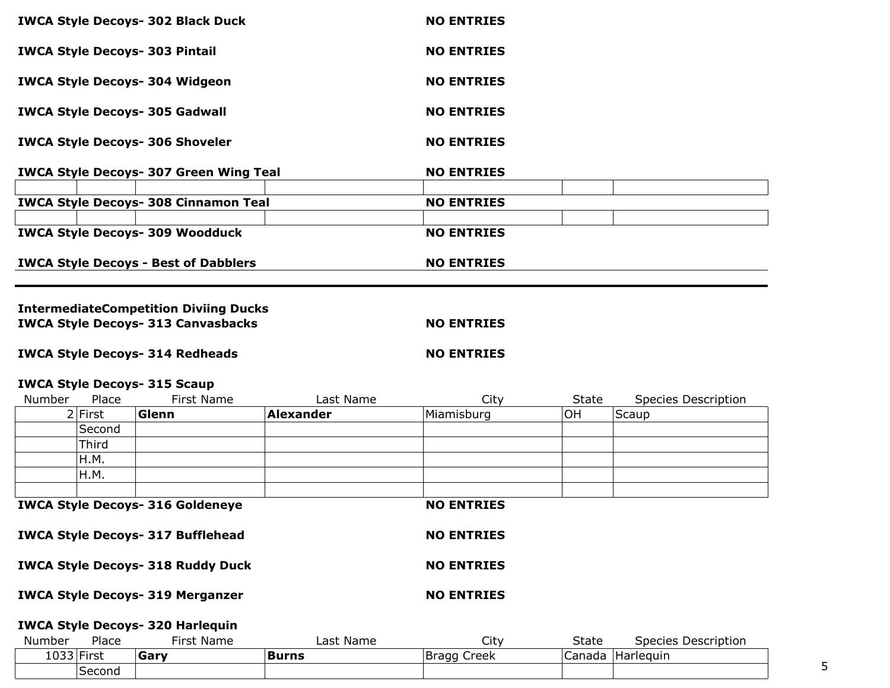| <b>IWCA Style Decoys- 302 Black Duck</b>      | <b>NO ENTRIES</b> |
|-----------------------------------------------|-------------------|
| <b>IWCA Style Decoys- 303 Pintail</b>         | <b>NO ENTRIES</b> |
| <b>IWCA Style Decoys- 304 Widgeon</b>         | <b>NO ENTRIES</b> |
| <b>IWCA Style Decoys- 305 Gadwall</b>         | <b>NO ENTRIES</b> |
| <b>IWCA Style Decoys- 306 Shoveler</b>        | <b>NO ENTRIES</b> |
| <b>IWCA Style Decoys- 307 Green Wing Teal</b> | <b>NO ENTRIES</b> |
| <b>IWCA Style Decoys- 308 Cinnamon Teal</b>   | <b>NO ENTRIES</b> |
| <b>IWCA Style Decoys- 309 Woodduck</b>        | <b>NO ENTRIES</b> |
| <b>IWCA Style Decoys - Best of Dabblers</b>   | <b>NO ENTRIES</b> |
| <b>IntermediateCompetition Diviing Ducks</b>  |                   |
| <b>IWCA Style Decoys- 313 Canvasbacks</b>     | <b>NO ENTRIES</b> |
| <b>IWCA Style Decoys- 314 Redheads</b>        | <b>NO ENTRIES</b> |

### **IWCA Style Decoys- 315 Scaup**

| Number | Place     | First Name                              | Last Name        | City              | <b>State</b> | <b>Species Description</b> |
|--------|-----------|-----------------------------------------|------------------|-------------------|--------------|----------------------------|
|        | $2$ First | Glenn                                   | <b>Alexander</b> | Miamisburg        | ΟH           | Scaup                      |
|        | Second    |                                         |                  |                   |              |                            |
|        | Third     |                                         |                  |                   |              |                            |
|        | H.M.      |                                         |                  |                   |              |                            |
|        | H.M.      |                                         |                  |                   |              |                            |
|        |           |                                         |                  |                   |              |                            |
|        |           | <b>IWCA Style Decoys- 316 Goldeneye</b> |                  | <b>NO ENTRIES</b> |              |                            |

**IWCA Style Decoys- 317 Bufflehead MO ENTRIES** 

**IWCA Style Decoys- 318 Ruddy Duck NO ENTRIES** 

**IWCA Style Decoys- 319 Merganzer NO ENTRIES** 

# **IWCA Style Decoys- 320 Harlequin**

| Number<br>Place   | First Name | ∟ast<br>Name | City           | <b>State</b> | Description<br>Species |  |
|-------------------|------------|--------------|----------------|--------------|------------------------|--|
| '033 First<br>⊥∪∪ | Gary       | <b>Burns</b> | Creek<br>Bragg | Canada       | 'Harleguin             |  |
| Second            |            |              |                |              |                        |  |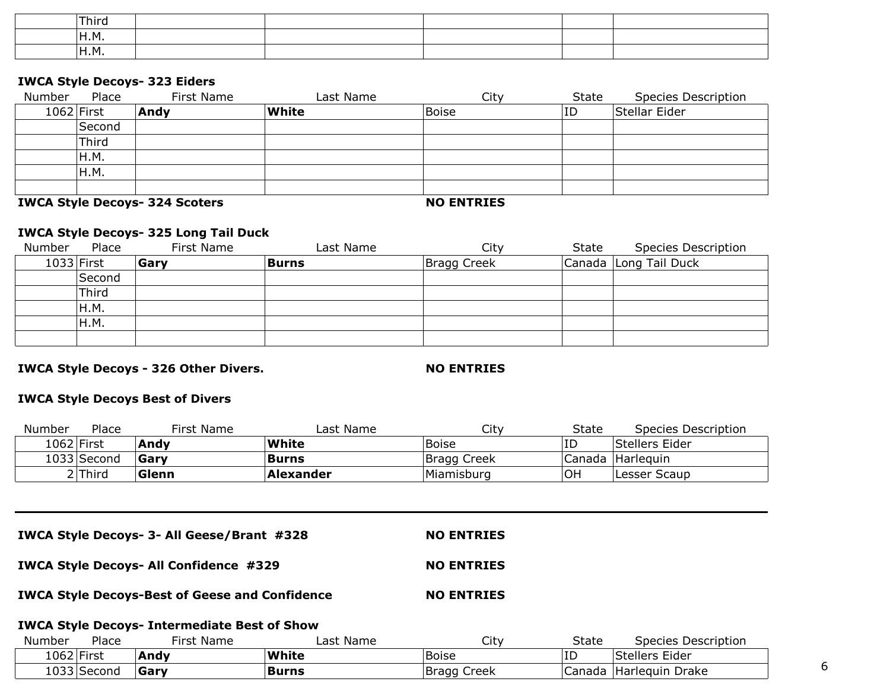| Third             |  |  |  |
|-------------------|--|--|--|
| .<br>'н.м.        |  |  |  |
| <sup>I</sup> H.M. |  |  |  |

#### **IWCA Style Decoys- 323 Eiders**

| Number       | Place  | First Name | Last Name    | City         | State | <b>Species Description</b> |
|--------------|--------|------------|--------------|--------------|-------|----------------------------|
| $1062$ First |        | Andy       | <b>White</b> | <b>Boise</b> | ID    | Stellar Eider              |
|              | Second |            |              |              |       |                            |
|              | Third  |            |              |              |       |                            |
|              | H.M.   |            |              |              |       |                            |
|              | IH.M.  |            |              |              |       |                            |
|              |        |            |              |              |       |                            |

**IWCA Style Decoys- 324 Scoters NO ENTRIES**

## **IWCA Style Decoys- 325 Long Tail Duck**

| Number     | Place  | First Name  | Last Name | City        | State | <b>Species Description</b> |
|------------|--------|-------------|-----------|-------------|-------|----------------------------|
| 1033 First |        | <b>Garv</b> | Burns     | Bragg Creek |       | Canada Long Tail Duck      |
|            | Second |             |           |             |       |                            |
|            | Third  |             |           |             |       |                            |
|            | H.M.   |             |           |             |       |                            |
|            | IH.M.  |             |           |             |       |                            |
|            |        |             |           |             |       |                            |

**IWCA Style Decoys - 326 Other Divers. NO ENTRIES** 

#### **IWCA Style Decoys Best of Divers**

| Number      | Place   | First Name | Last Name    | City         | State | Species Description |
|-------------|---------|------------|--------------|--------------|-------|---------------------|
| 1062 First  |         | Andv       | White        | <b>Boise</b> | ΙD    | Stellers Eider      |
| 1033 Second |         | Garv       | <b>Burns</b> | Bragg Creek  |       | Canada Harleguin    |
|             | ? Third | Glenn      | Alexander    | Miamisburg   | OH    | Lesser Scaup        |

**IWCA Style Decoys- 3- All Geese/Brant #328 NO ENTRIES**

**IWCA Style Decoys- All Confidence #329 NO ENTRIES**

**IWCA Style Decoys-Best of Geese and Confidence MO ENTRIES** 

#### **IWCA Style Decoys- Intermediate Best of Show**

| Number      | Place | First Name | Last Name    | City         | State  | Species Description |  |
|-------------|-------|------------|--------------|--------------|--------|---------------------|--|
| 1062 First  |       | Andy       | White        | <b>Boise</b> | ⊥ L    | Stellers Eider      |  |
| 1033 Second |       | Garv       | <b>Burns</b> | Bragg Creek  | Janada | Harleguin Drake     |  |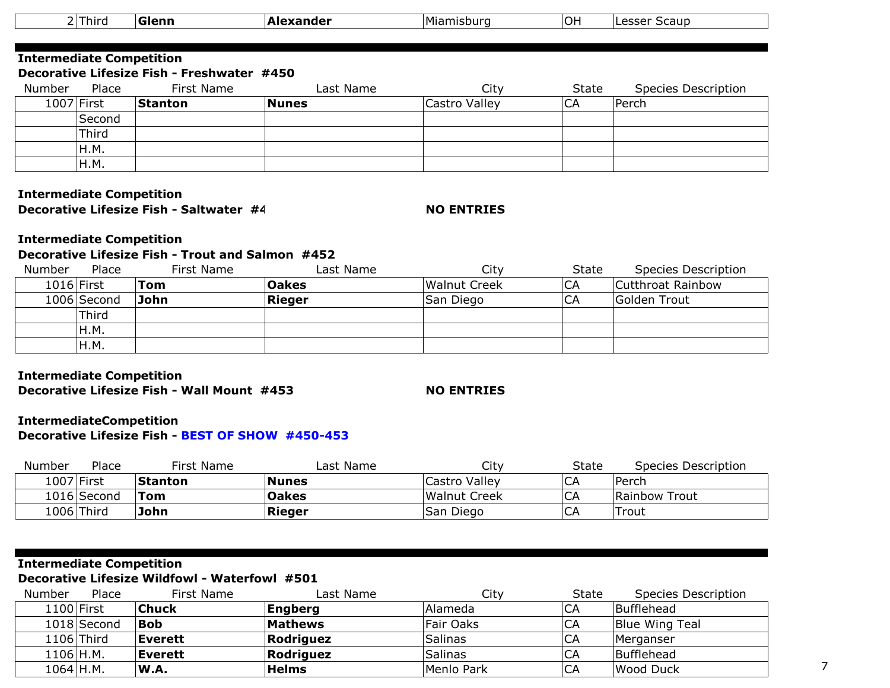|                                 | $2$ Third  | Glenn                                      | <b>Alexander</b> | Miamisburg    | OH    | Lesser Scaup               |
|---------------------------------|------------|--------------------------------------------|------------------|---------------|-------|----------------------------|
|                                 |            |                                            |                  |               |       |                            |
| <b>Intermediate Competition</b> |            |                                            |                  |               |       |                            |
|                                 |            | Decorative Lifesize Fish - Freshwater #450 |                  |               |       |                            |
| Number                          | Place      | First Name                                 | Last Name        | City          | State | <b>Species Description</b> |
|                                 | 1007 First | <b>Stanton</b>                             | <b>Nunes</b>     | Castro Valley | CA    | Perch                      |
|                                 | Second     |                                            |                  |               |       |                            |
|                                 | Third      |                                            |                  |               |       |                            |
|                                 | H.M.       |                                            |                  |               |       |                            |
|                                 | H.M.       |                                            |                  |               |       |                            |

#### **Intermediate Competition Decorative Lifesize Fish - Saltwater #4**

### **NO ENTRIES**

# **Intermediate Competition**

# **Decorative Lifesize Fish - Trout and Salmon #452**

| Number       | Place       | First Name | Last Name    | City                | State | <b>Species Description</b> |
|--------------|-------------|------------|--------------|---------------------|-------|----------------------------|
| $1016$ First |             | Tom        | <b>Oakes</b> | <b>Walnut Creek</b> | CA    | Cutthroat Rainbow          |
|              | 1006 Second | John       | Rieger       | San Diego           | CA    | Golden Trout               |
|              | Third       |            |              |                     |       |                            |
|              | H.M.        |            |              |                     |       |                            |
|              | IH.M.       |            |              |                     |       |                            |

#### **Intermediate Competition Decorative Lifesize Fish - Wall Mount #453 NO ENTRIES**

#### **IntermediateCompetition Decorative Lifesize Fish - BEST OF SHOW #450-453**

| Number | Place       | First Name     | Last Name    | City          | State | Species Description |
|--------|-------------|----------------|--------------|---------------|-------|---------------------|
|        | 1007 First  | <b>Stanton</b> | <b>Nunes</b> | Castro Valley | CA    | Perch               |
|        | 1016 Second | Tom            | <b>Oakes</b> | Walnut Creek  | CA    | Rainbow Trout       |
|        | 1006 Third  | John           | Rieger       | San Diego     | СA    | Trout               |

# **Intermediate Competition**

# **Decorative Lifesize Wildfowl - Waterfowl #501**

| Number      | Place        | First Name     | Last Name      | City       | State | <b>Species Description</b> |
|-------------|--------------|----------------|----------------|------------|-------|----------------------------|
|             | $1100$ First | <b>Chuck</b>   | <b>Engberg</b> | Alameda    | CA    | Bufflehead                 |
|             | 1018 Second  | <b>Bob</b>     | Mathews        | Fair Oaks  | CA    | Blue Wing Teal             |
|             | $1106$ Third | <b>Everett</b> | Rodriguez      | Salinas    | CA    | Merganser                  |
| 1106 H.M.   |              | Everett        | Rodriguez      | Salinas    | CA    | Bufflehead                 |
| $1064$ H.M. |              | W.A.           | <b>Helms</b>   | Menlo Park | СA    | <b>Wood Duck</b>           |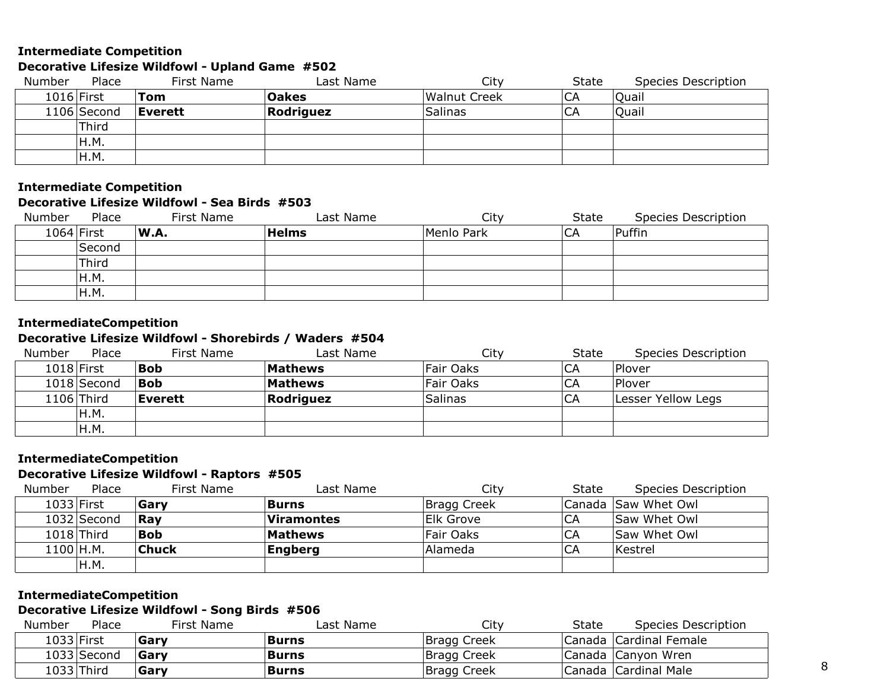## **Intermediate Competition**

# **Decorative Lifesize Wildfowl - Upland Game #502**

| Number     | Place       | First Name     | Last Name    | City                | <b>State</b> | Species Description |
|------------|-------------|----------------|--------------|---------------------|--------------|---------------------|
| 1016 First |             | Tom            | <b>Oakes</b> | <b>Walnut Creek</b> | СA           | <b>Ouail</b>        |
|            | 1106 Second | <b>Everett</b> | Rodriguez    | <b>Salinas</b>      | CA           | <b>Ouail</b>        |
|            | 'Third      |                |              |                     |              |                     |
|            | IH.M.       |                |              |                     |              |                     |
|            | IH.M.       |                |              |                     |              |                     |

## **Intermediate Competition**

## **Decorative Lifesize Wildfowl - Sea Birds #503**

| Number       | Place  | First Name | Last Name    | City       | State | <b>Species Description</b> |
|--------------|--------|------------|--------------|------------|-------|----------------------------|
| $1064$ First |        | W.A.       | <b>Helms</b> | Menlo Park | CA    | Puffin                     |
|              | Second |            |              |            |       |                            |
|              | Third  |            |              |            |       |                            |
|              | IH.M.  |            |              |            |       |                            |
|              | H.M.   |            |              |            |       |                            |

# **IntermediateCompetition**

## **Decorative Lifesize Wildfowl - Shorebirds / Waders #504**

| Number       | Place        | First Name | Last Name      | City           | State | <b>Species Description</b> |
|--------------|--------------|------------|----------------|----------------|-------|----------------------------|
| $1018$ First |              | 'Bob       | <b>Mathews</b> | Fair Oaks      | CA    | Plover                     |
|              | 1018 Second  | <b>Bob</b> | <b>Mathews</b> | Fair Oaks      | CA    | <b>Plover</b>              |
|              | $1106$ Third | Everett    | Rodriguez      | <b>Salinas</b> | .CA   | Lesser Yellow Legs         |
|              | H.M.         |            |                |                |       |                            |
|              | IH.M.        |            |                |                |       |                            |

#### **IntermediateCompetition**

### **Decorative Lifesize Wildfowl - Raptors #505**

| <b>Number</b> | Place       | First Name   | Last Name         | City        | State | Species Description |
|---------------|-------------|--------------|-------------------|-------------|-------|---------------------|
| 1033 First    |             | Garv         | Burns             | Bragg Creek |       | Canada Saw Whet Owl |
|               | 1032 Second | Ray          | <b>Viramontes</b> | IElk Grove  | CA    | <b>Saw Whet Owl</b> |
|               | 1018 Third  | <b>Bob</b>   | Mathews           | Fair Oaks   | СA    | <b>Saw Whet Owl</b> |
| 1100 H.M.     |             | <b>Chuck</b> | Engberg           | Alameda     | CA    | Kestrel             |
|               | H.M.        |              |                   |             |       |                     |

#### **IntermediateCompetition**

#### **Decorative Lifesize Wildfowl - Song Birds #506**

| Number | Place       | First Name | Last Name    | City        | State | Species Description    |
|--------|-------------|------------|--------------|-------------|-------|------------------------|
|        | 1033 First  | Garv       | <b>Burns</b> | Bragg Creek |       | Canada Cardinal Female |
|        | 1033 Second | Garv       | <b>Burns</b> | Bragg Creek |       | Canada Canyon Wren     |
|        | 1033 Third  | Gary       | <b>Burns</b> | Bragg Creek |       | Canada   Cardinal Male |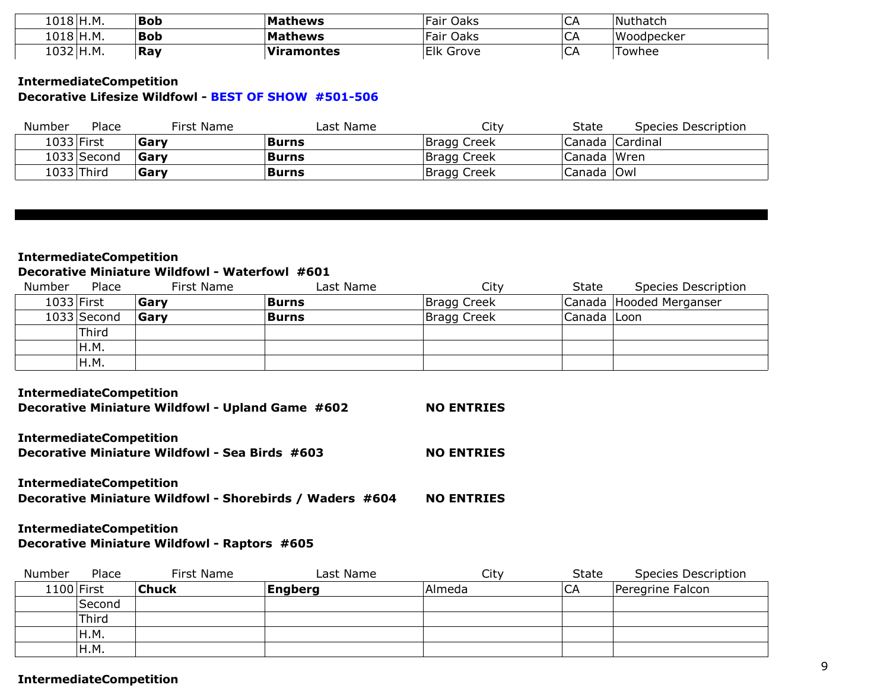| 1018 H.M. | Bob        | <b>Mathews</b>    | Fair Oaks        | $\sim$<br>ີ        | Nuthatch   |
|-----------|------------|-------------------|------------------|--------------------|------------|
| 1018 H.M. | <b>Bob</b> | <b>Mathews</b>    | Fair Oaks        | $\sim$ $\sim$<br>◡ | Woodpecker |
| 1032 H.M. | Ray        | <b>Viramontes</b> | <b>Elk Grove</b> | ∽                  | Fowhee     |

## **IntermediateCompetition Decorative Lifesize Wildfowl - BEST OF SHOW #501-506**

| Number | Place       | First Name | Last Name    | City        | State        | Species Description |
|--------|-------------|------------|--------------|-------------|--------------|---------------------|
|        | 1033 First  | Garv       | <b>Burns</b> | Bragg Creek |              | Canada   Cardinal   |
|        | 1033 Second | Garv       | <b>Burns</b> | Bragg Creek | Canada Wren  |                     |
|        | 1033 Third  | Garv       | <b>Burns</b> | Bragg Creek | Canada   Owl |                     |

## **IntermediateCompetition Decorative Miniature Wildfowl - Waterfowl #601**

| Number | Place         | First Name  | Last Name    | City        | <b>State</b> | Species Description     |
|--------|---------------|-------------|--------------|-------------|--------------|-------------------------|
|        | 1033 First    | Garv        | <b>Burns</b> | Bragg Creek |              | Canada Hooded Merganser |
|        | $1033$ Second | <b>Garv</b> | Burns        | Bragg Creek | Canada Loon  |                         |
|        | Third         |             |              |             |              |                         |
|        | IH.M.         |             |              |             |              |                         |
|        | H.M.          |             |              |             |              |                         |

#### **IntermediateCompetition**

| Decorative Miniature Wildfowl - Upland Game #602 | <b>NO ENTRIES</b> |
|--------------------------------------------------|-------------------|
| <b>IntermediateCompetition</b>                   |                   |

**Decorative Miniature Wildfowl - Sea Birds #603**

**NO ENTRIES**

**NO ENTRIES Decorative Miniature Wildfowl - Shorebirds / Waders #604 IntermediateCompetition**

## **IntermediateCompetition**

**Decorative Miniature Wildfowl - Raptors #605**

| Number | Place        | First Name   | Last Name      | City   | State | Species Description |
|--------|--------------|--------------|----------------|--------|-------|---------------------|
|        | $1100$ First | <b>Chuck</b> | <b>Engberg</b> | Almeda | CA    | Peregrine Falcon    |
|        | Second       |              |                |        |       |                     |
|        | Third        |              |                |        |       |                     |
|        | H.M.         |              |                |        |       |                     |
|        | IH.M.        |              |                |        |       |                     |

#### **IntermediateCompetition**